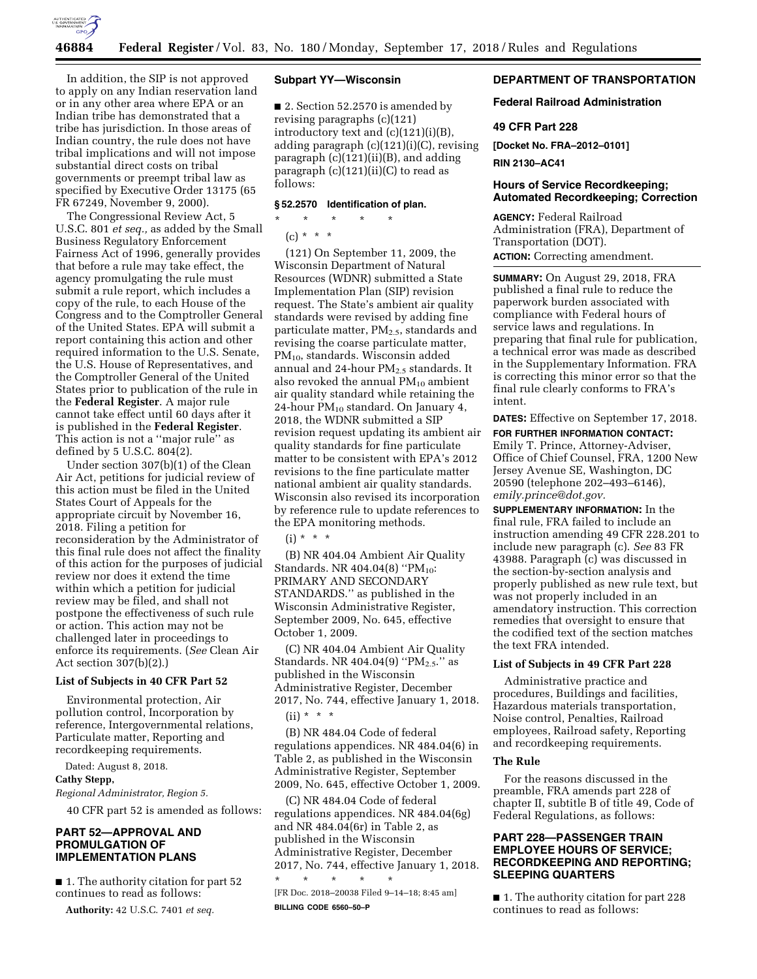

In addition, the SIP is not approved to apply on any Indian reservation land or in any other area where EPA or an Indian tribe has demonstrated that a tribe has jurisdiction. In those areas of Indian country, the rule does not have tribal implications and will not impose substantial direct costs on tribal governments or preempt tribal law as specified by Executive Order 13175 (65 FR 67249, November 9, 2000).

The Congressional Review Act, 5 U.S.C. 801 *et seq.,* as added by the Small Business Regulatory Enforcement Fairness Act of 1996, generally provides that before a rule may take effect, the agency promulgating the rule must submit a rule report, which includes a copy of the rule, to each House of the Congress and to the Comptroller General of the United States. EPA will submit a report containing this action and other required information to the U.S. Senate, the U.S. House of Representatives, and the Comptroller General of the United States prior to publication of the rule in the **Federal Register**. A major rule cannot take effect until 60 days after it is published in the **Federal Register**. This action is not a ''major rule'' as defined by 5 U.S.C. 804(2).

Under section 307(b)(1) of the Clean Air Act, petitions for judicial review of this action must be filed in the United States Court of Appeals for the appropriate circuit by November 16, 2018. Filing a petition for reconsideration by the Administrator of this final rule does not affect the finality of this action for the purposes of judicial review nor does it extend the time within which a petition for judicial review may be filed, and shall not postpone the effectiveness of such rule or action. This action may not be challenged later in proceedings to enforce its requirements. (*See* Clean Air Act section 307(b)(2).)

#### **List of Subjects in 40 CFR Part 52**

Environmental protection, Air pollution control, Incorporation by reference, Intergovernmental relations, Particulate matter, Reporting and recordkeeping requirements.

Dated: August 8, 2018.

# **Cathy Stepp,**

*Regional Administrator, Region 5.* 

40 CFR part 52 is amended as follows:

# **PART 52—APPROVAL AND PROMULGATION OF IMPLEMENTATION PLANS**

■ 1. The authority citation for part 52 continues to read as follows:

**Authority:** 42 U.S.C. 7401 *et seq.* 

# **Subpart YY—Wisconsin**

■ 2. Section 52.2570 is amended by revising paragraphs (c)(121) introductory text and (c)(121)(i)(B), adding paragraph (c)(121)(i)(C), revising paragraph (c)(121)(ii)(B), and adding paragraph (c)(121)(ii)(C) to read as follows:

#### **§ 52.2570 Identification of plan.**

\* \* \* \* \*

 $(c) * * * *$ 

(121) On September 11, 2009, the Wisconsin Department of Natural Resources (WDNR) submitted a State Implementation Plan (SIP) revision request. The State's ambient air quality standards were revised by adding fine particulate matter,  $PM_{2.5}$ , standards and revising the coarse particulate matter, PM10, standards. Wisconsin added annual and 24-hour  $PM_{2.5}$  standards. It also revoked the annual  $PM_{10}$  ambient air quality standard while retaining the 24-hour  $PM_{10}$  standard. On January 4, 2018, the WDNR submitted a SIP revision request updating its ambient air quality standards for fine particulate matter to be consistent with EPA's 2012 revisions to the fine particulate matter national ambient air quality standards. Wisconsin also revised its incorporation by reference rule to update references to the EPA monitoring methods.

 $(i) * * * *$ 

(B) NR 404.04 Ambient Air Quality Standards. NR 404.04(8) "PM<sub>10</sub>: PRIMARY AND SECONDARY STANDARDS.'' as published in the Wisconsin Administrative Register, September 2009, No. 645, effective October 1, 2009.

(C) NR 404.04 Ambient Air Quality Standards. NR 404.04(9) "PM<sub>2.5</sub>." as published in the Wisconsin Administrative Register, December 2017, No. 744, effective January 1, 2018.  $(ii) * * * *$ 

(B) NR 484.04 Code of federal regulations appendices. NR 484.04(6) in Table 2, as published in the Wisconsin Administrative Register, September 2009, No. 645, effective October 1, 2009.

(C) NR 484.04 Code of federal regulations appendices. NR 484.04(6g) and NR 484.04(6r) in Table 2, as published in the Wisconsin Administrative Register, December 2017, No. 744, effective January 1, 2018. \* \* \* \* \*

[FR Doc. 2018–20038 Filed 9–14–18; 8:45 am] **BILLING CODE 6560–50–P** 

# **DEPARTMENT OF TRANSPORTATION**

**Federal Railroad Administration** 

# **49 CFR Part 228**

**[Docket No. FRA–2012–0101]** 

**RIN 2130–AC41** 

#### **Hours of Service Recordkeeping; Automated Recordkeeping; Correction**

**AGENCY:** Federal Railroad Administration (FRA), Department of Transportation (DOT).

**ACTION:** Correcting amendment.

**SUMMARY:** On August 29, 2018, FRA published a final rule to reduce the paperwork burden associated with compliance with Federal hours of service laws and regulations. In preparing that final rule for publication, a technical error was made as described in the Supplementary Information. FRA is correcting this minor error so that the final rule clearly conforms to FRA's intent.

**DATES:** Effective on September 17, 2018.

# **FOR FURTHER INFORMATION CONTACT:**

Emily T. Prince, Attorney-Adviser, Office of Chief Counsel, FRA, 1200 New Jersey Avenue SE, Washington, DC 20590 (telephone 202–493–6146), *[emily.prince@dot.gov.](mailto:emily.prince@dot.gov)* 

**SUPPLEMENTARY INFORMATION:** In the final rule, FRA failed to include an instruction amending 49 CFR 228.201 to include new paragraph (c). *See* 83 FR 43988. Paragraph (c) was discussed in the section-by-section analysis and properly published as new rule text, but was not properly included in an amendatory instruction. This correction remedies that oversight to ensure that the codified text of the section matches the text FRA intended.

## **List of Subjects in 49 CFR Part 228**

Administrative practice and procedures, Buildings and facilities, Hazardous materials transportation, Noise control, Penalties, Railroad employees, Railroad safety, Reporting and recordkeeping requirements.

# **The Rule**

For the reasons discussed in the preamble, FRA amends part 228 of chapter II, subtitle B of title 49, Code of Federal Regulations, as follows:

# **PART 228—PASSENGER TRAIN EMPLOYEE HOURS OF SERVICE; RECORDKEEPING AND REPORTING; SLEEPING QUARTERS**

■ 1. The authority citation for part 228 continues to read as follows: